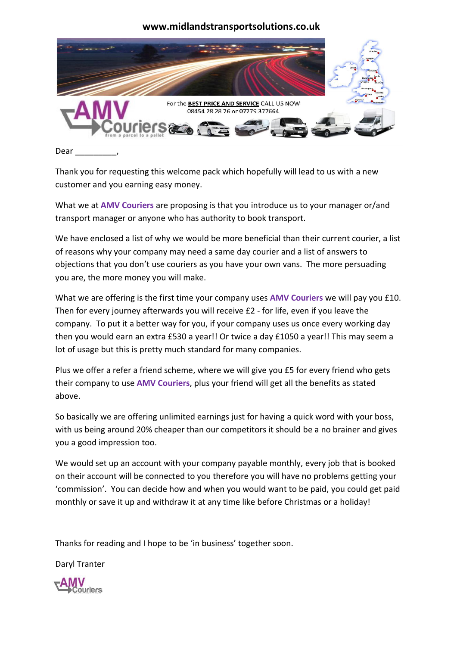

Dear

Thank you for requesting this welcome pack which hopefully will lead to us with a new customer and you earning easy money.

What we at **AMV Couriers** are proposing is that you introduce us to your manager or/and transport manager or anyone who has authority to book transport.

We have enclosed a list of why we would be more beneficial than their current courier, a list of reasons why your company may need a same day courier and a list of answers to objections that you don't use couriers as you have your own vans. The more persuading you are, the more money you will make.

What we are offering is the first time your company uses **AMV Couriers** we will pay you £10. Then for every journey afterwards you will receive £2 - for life, even if you leave the company. To put it a better way for you, if your company uses us once every working day then you would earn an extra £530 a year!! Or twice a day £1050 a year!! This may seem a lot of usage but this is pretty much standard for many companies.

Plus we offer a refer a friend scheme, where we will give you £5 for every friend who gets their company to use **AMV Couriers**, plus your friend will get all the benefits as stated above.

So basically we are offering unlimited earnings just for having a quick word with your boss, with us being around 20% cheaper than our competitors it should be a no brainer and gives you a good impression too.

We would set up an account with your company payable monthly, every job that is booked on their account will be connected to you therefore you will have no problems getting your 'commission'. You can decide how and when you would want to be paid, you could get paid monthly or save it up and withdraw it at any time like before Christmas or a holiday!

Thanks for reading and I hope to be 'in business' together soon.

Daryl Tranter

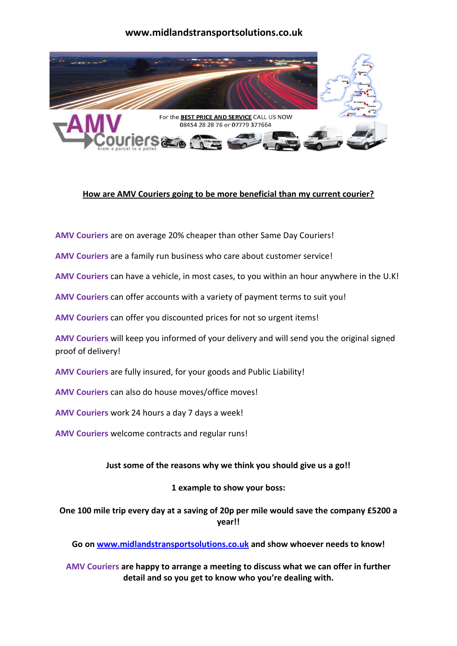

## **How are AMV Couriers going to be more beneficial than my current courier?**

**AMV Couriers** are on average 20% cheaper than other Same Day Couriers!

**AMV Couriers** are a family run business who care about customer service!

**AMV Couriers** can have a vehicle, in most cases, to you within an hour anywhere in the U.K!

**AMV Couriers** can offer accounts with a variety of payment terms to suit you!

**AMV Couriers** can offer you discounted prices for not so urgent items!

**AMV Couriers** will keep you informed of your delivery and will send you the original signed proof of delivery!

**AMV Couriers** are fully insured, for your goods and Public Liability!

**AMV Couriers** can also do house moves/office moves!

**AMV Couriers** work 24 hours a day 7 days a week!

**AMV Couriers** welcome contracts and regular runs!

## **Just some of the reasons why we think you should give us a go!!**

## **1 example to show your boss:**

**One 100 mile trip every day at a saving of 20p per mile would save the company £5200 a year!!**

**Go on [www.midlandstransportsolutions.co.uk](http://www.midlandstransportsolutions.co.uk/) and show whoever needs to know!**

**AMV Couriers are happy to arrange a meeting to discuss what we can offer in further detail and so you get to know who you're dealing with.**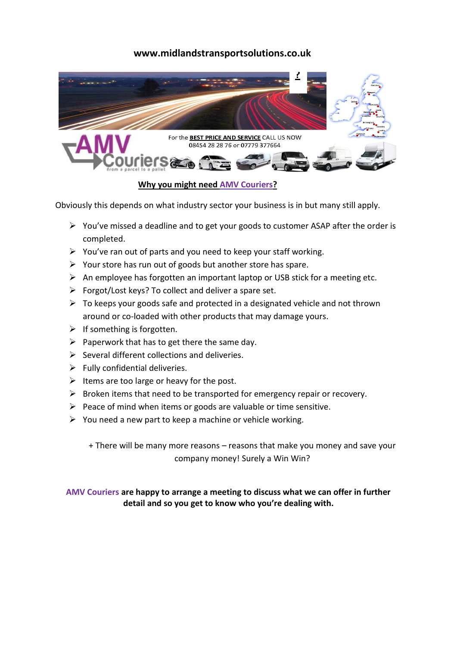

## **Why you might need AMV Couriers?**

Obviously this depends on what industry sector your business is in but many still apply.

- $\triangleright$  You've missed a deadline and to get your goods to customer ASAP after the order is completed.
- $\triangleright$  You've ran out of parts and you need to keep your staff working.
- $\triangleright$  Your store has run out of goods but another store has spare.
- $\triangleright$  An employee has forgotten an important laptop or USB stick for a meeting etc.
- $\triangleright$  Forgot/Lost keys? To collect and deliver a spare set.
- $\triangleright$  To keeps your goods safe and protected in a designated vehicle and not thrown around or co-loaded with other products that may damage yours.
- $\triangleright$  If something is forgotten.
- $\triangleright$  Paperwork that has to get there the same day.
- $\triangleright$  Several different collections and deliveries.
- $\triangleright$  Fully confidential deliveries.
- $\triangleright$  Items are too large or heavy for the post.
- $\triangleright$  Broken items that need to be transported for emergency repair or recovery.
- $\triangleright$  Peace of mind when items or goods are valuable or time sensitive.
- $\triangleright$  You need a new part to keep a machine or vehicle working.

+ There will be many more reasons – reasons that make you money and save your company money! Surely a Win Win?

## **AMV Couriers are happy to arrange a meeting to discuss what we can offer in further detail and so you get to know who you're dealing with.**